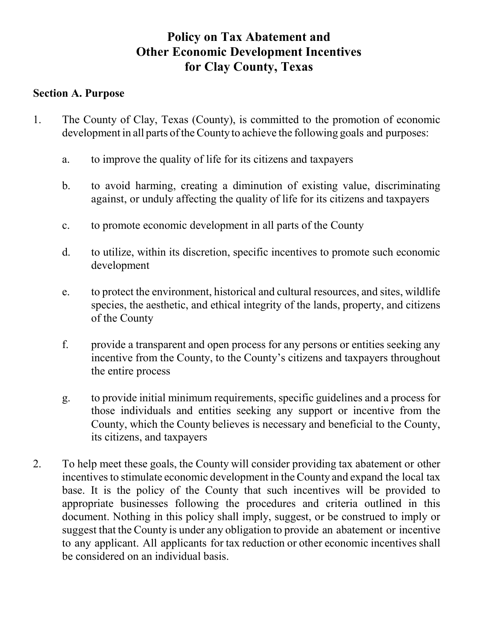# **Policy on Tax Abatement and Other Economic Development Incentives for Clay County, Texas**

#### **Section A. Purpose**

- 1. The County of Clay, Texas (County), is committed to the promotion of economic development in all parts of the County to achieve the following goals and purposes:
	- a. to improve the quality of life for its citizens and taxpayers
	- b. to avoid harming, creating a diminution of existing value, discriminating against, or unduly affecting the quality of life for its citizens and taxpayers
	- c. to promote economic development in all parts of the County
	- d. to utilize, within its discretion, specific incentives to promote such economic development
	- e. to protect the environment, historical and cultural resources, and sites, wildlife species, the aesthetic, and ethical integrity of the lands, property, and citizens of the County
	- f. provide a transparent and open process for any persons or entities seeking any incentive from the County, to the County's citizens and taxpayers throughout the entire process
	- g. to provide initial minimum requirements, specific guidelines and a process for those individuals and entities seeking any support or incentive from the County, which the County believes is necessary and beneficial to the County, its citizens, and taxpayers
- 2. To help meet these goals, the County will consider providing tax abatement or other incentives to stimulate economic development in the County and expand the local tax base. It is the policy of the County that such incentives will be provided to appropriate businesses following the procedures and criteria outlined in this document. Nothing in this policy shall imply, suggest, or be construed to imply or suggest that the County is under any obligation to provide an abatement or incentive to any applicant. All applicants for tax reduction or other economic incentives shall be considered on an individual basis.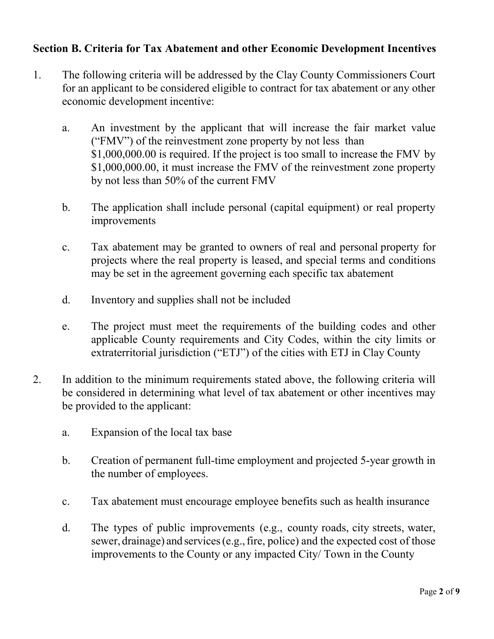### **Section B. Criteria for Tax Abatement and other Economic Development Incentives**

- 1. The following criteria will be addressed by the Clay County Commissioners Court for an applicant to be considered eligible to contract for tax abatement or any other economic development incentive:
	- a. An investment by the applicant that will increase the fair market value ("FMV") of the reinvestment zone property by not less than \$1,000,000.00 is required. If the project is too small to increase the FMV by \$1,000,000.00, it must increase the FMV of the reinvestment zone property by not less than 50% of the current FMV
	- b. The application shall include personal (capital equipment) or real property improvements
	- c. Tax abatement may be granted to owners of real and personal property for projects where the real property is leased, and special terms and conditions may be set in the agreement governing each specific tax abatement
	- d. Inventory and supplies shall not be included
	- e. The project must meet the requirements of the building codes and other applicable County requirements and City Codes, within the city limits or extraterritorial jurisdiction ("ETJ") of the cities with ETJ in Clay County
- 2. In addition to the minimum requirements stated above, the following criteria will be considered in determining what level of tax abatement or other incentives may be provided to the applicant:
	- a. Expansion of the local tax base
	- b. Creation of permanent full-time employment and projected 5-year growth in the number of employees.
	- c. Tax abatement must encourage employee benefits such as health insurance
	- d. The types of public improvements (e.g., county roads, city streets, water, sewer, drainage) and services(e.g.,fire, police) and the expected cost of those improvements to the County or any impacted City/ Town in the County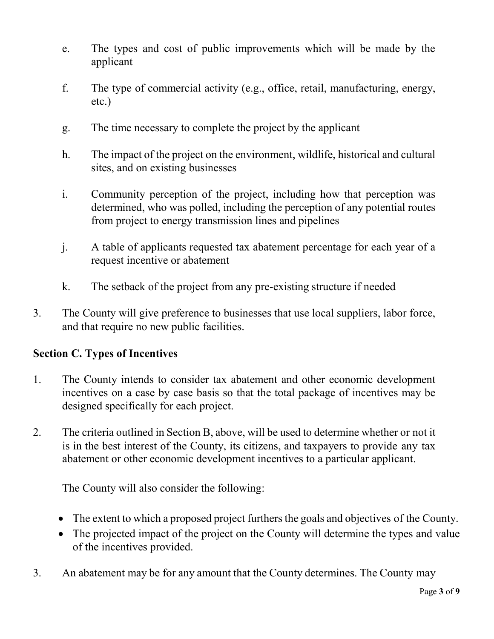- e. The types and cost of public improvements which will be made by the applicant
- f. The type of commercial activity (e.g., office, retail, manufacturing, energy, etc.)
- g. The time necessary to complete the project by the applicant
- h. The impact of the project on the environment, wildlife, historical and cultural sites, and on existing businesses
- i. Community perception of the project, including how that perception was determined, who was polled, including the perception of any potential routes from project to energy transmission lines and pipelines
- j. A table of applicants requested tax abatement percentage for each year of a request incentive or abatement
- k. The setback of the project from any pre-existing structure if needed
- 3. The County will give preference to businesses that use local suppliers, labor force, and that require no new public facilities.

#### **Section C. Types of Incentives**

- 1. The County intends to consider tax abatement and other economic development incentives on a case by case basis so that the total package of incentives may be designed specifically for each project.
- 2. The criteria outlined in Section B, above, will be used to determine whether or not it is in the best interest of the County, its citizens, and taxpayers to provide any tax abatement or other economic development incentives to a particular applicant.

The County will also consider the following:

- The extent to which a proposed project furthers the goals and objectives of the County.
- The projected impact of the project on the County will determine the types and value of the incentives provided.
- 3. An abatement may be for any amount that the County determines. The County may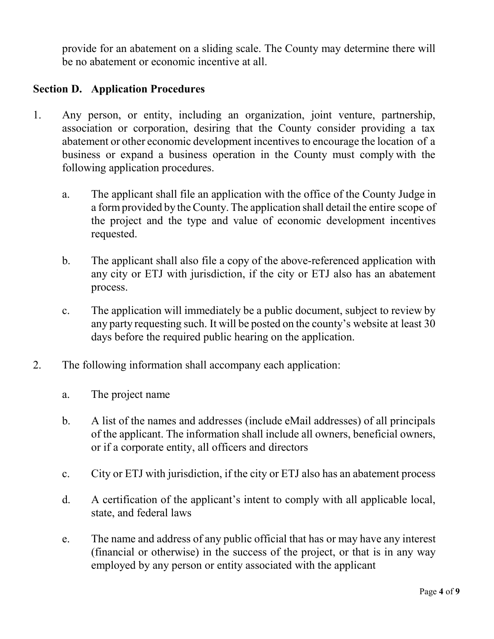provide for an abatement on a sliding scale. The County may determine there will be no abatement or economic incentive at all.

#### **Section D. Application Procedures**

- 1. Any person, or entity, including an organization, joint venture, partnership, association or corporation, desiring that the County consider providing a tax abatement or other economic development incentives to encourage the location of a business or expand a business operation in the County must comply with the following application procedures.
	- a. The applicant shall file an application with the office of the County Judge in a formprovided by the County. The application shall detail the entire scope of the project and the type and value of economic development incentives requested.
	- b. The applicant shall also file a copy of the above-referenced application with any city or ETJ with jurisdiction, if the city or ETJ also has an abatement process.
	- c. The application will immediately be a public document, subject to review by any party requesting such. It will be posted on the county's website at least 30 days before the required public hearing on the application.
- 2. The following information shall accompany each application:
	- a. The project name
	- b. A list of the names and addresses (include eMail addresses) of all principals of the applicant. The information shall include all owners, beneficial owners, or if a corporate entity, all officers and directors
	- c. City or ETJ with jurisdiction, if the city or ETJ also has an abatement process
	- d. A certification of the applicant's intent to comply with all applicable local, state, and federal laws
	- e. The name and address of any public official that has or may have any interest (financial or otherwise) in the success of the project, or that is in any way employed by any person or entity associated with the applicant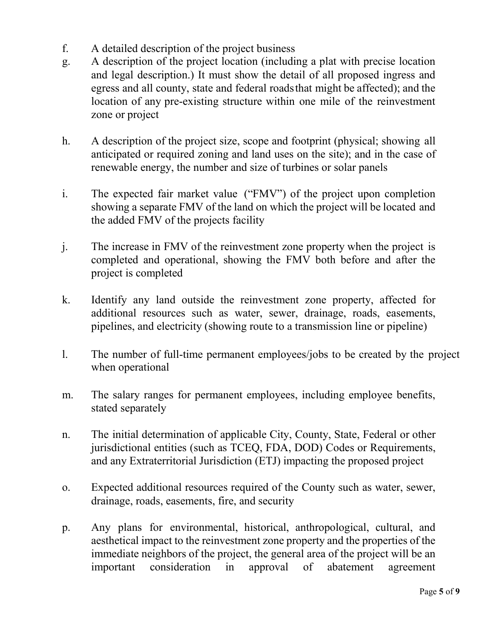- f. A detailed description of the project business
- g. A description of the project location (including a plat with precise location and legal description.) It must show the detail of all proposed ingress and egress and all county, state and federal roadsthat might be affected); and the location of any pre-existing structure within one mile of the reinvestment zone or project
- h. A description of the project size, scope and footprint (physical; showing all anticipated or required zoning and land uses on the site); and in the case of renewable energy, the number and size of turbines or solar panels
- i. The expected fair market value ("FMV") of the project upon completion showing a separate FMV of the land on which the project will be located and the added FMV of the projects facility
- j. The increase in FMV of the reinvestment zone property when the project is completed and operational, showing the FMV both before and after the project is completed
- k. Identify any land outside the reinvestment zone property, affected for additional resources such as water, sewer, drainage, roads, easements, pipelines, and electricity (showing route to a transmission line or pipeline)
- l. The number of full-time permanent employees/jobs to be created by the project when operational
- m. The salary ranges for permanent employees, including employee benefits, stated separately
- n. The initial determination of applicable City, County, State, Federal or other jurisdictional entities (such as TCEQ, FDA, DOD) Codes or Requirements, and any Extraterritorial Jurisdiction (ETJ) impacting the proposed project
- o. Expected additional resources required of the County such as water, sewer, drainage, roads, easements, fire, and security
- p. Any plans for environmental, historical, anthropological, cultural, and aesthetical impact to the reinvestment zone property and the properties of the immediate neighbors of the project, the general area of the project will be an important consideration in approval of abatement agreement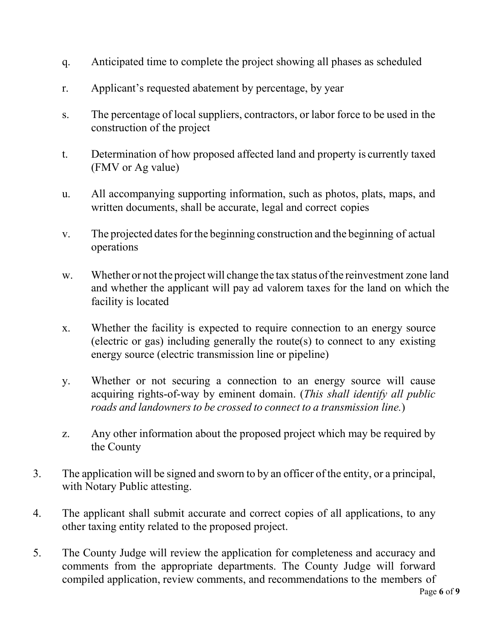- q. Anticipated time to complete the project showing all phases as scheduled
- r. Applicant's requested abatement by percentage, by year
- s. The percentage of local suppliers, contractors, or labor force to be used in the construction of the project
- t. Determination of how proposed affected land and property is currently taxed (FMV or Ag value)
- u. All accompanying supporting information, such as photos, plats, maps, and written documents, shall be accurate, legal and correct copies
- v. The projected dates for the beginning construction and the beginning of actual operations
- w. Whether or not the project will change the tax status of the reinvestment zone land and whether the applicant will pay ad valorem taxes for the land on which the facility is located
- x. Whether the facility is expected to require connection to an energy source (electric or gas) including generally the route(s) to connect to any existing energy source (electric transmission line or pipeline)
- y. Whether or not securing a connection to an energy source will cause acquiring rights-of-way by eminent domain. (*This shall identify all public roads* and *landowners to be crossed to connect to a transmission line.*)
- z. Any other information about the proposed project which may be required by the County
- 3. The application will be signed and sworn to by an officer of the entity, or a principal, with Notary Public attesting.
- 4. The applicant shall submit accurate and correct copies of all applications, to any other taxing entity related to the proposed project.
- 5. The County Judge will review the application for completeness and accuracy and comments from the appropriate departments. The County Judge will forward compiled application, review comments, and recommendations to the members of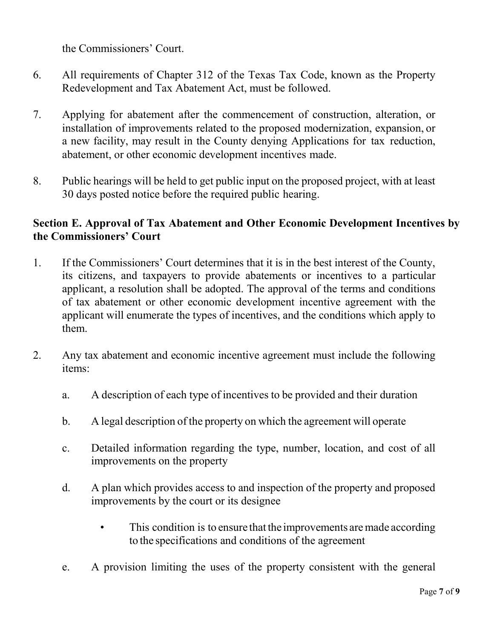the Commissioners' Court.

- 6. All requirements of Chapter 312 of the Texas Tax Code, known as the Property Redevelopment and Tax Abatement Act, must be followed.
- 7. Applying for abatement after the commencement of construction, alteration, or installation of improvements related to the proposed modernization, expansion, or a new facility, may result in the County denying Applications for tax reduction, abatement, or other economic development incentives made.
- 8. Public hearings will be held to get public input on the proposed project, with at least 30 days posted notice before the required public hearing.

## **Section E. Approval of Tax Abatement and Other Economic Development Incentives by the Commissioners' Court**

- 1. If the Commissioners' Court determines that it is in the best interest of the County, its citizens, and taxpayers to provide abatements or incentives to a particular applicant, a resolution shall be adopted. The approval of the terms and conditions of tax abatement or other economic development incentive agreement with the applicant will enumerate the types of incentives, and the conditions which apply to them.
- 2. Any tax abatement and economic incentive agreement must include the following items:
	- a. A description of each type of incentives to be provided and their duration
	- b. A legal description of the property on which the agreement will operate
	- c. Detailed information regarding the type, number, location, and cost of all improvements on the property
	- d. A plan which provides access to and inspection of the property and proposed improvements by the court or its designee
		- This condition is to ensure that the improvements are made according to the specifications and conditions of the agreement
	- e. A provision limiting the uses of the property consistent with the general